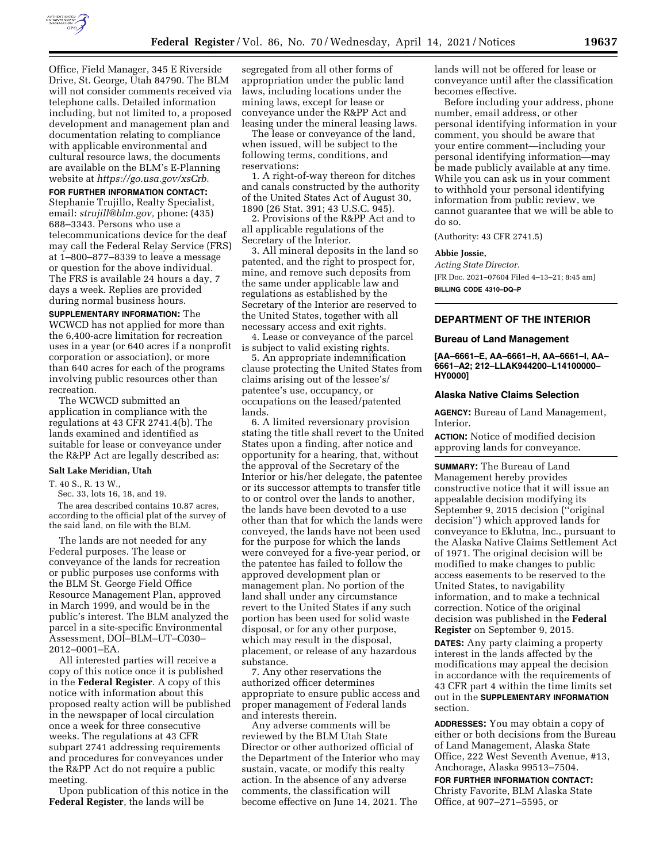

Office, Field Manager, 345 E Riverside Drive, St. George, Utah 84790. The BLM will not consider comments received via telephone calls. Detailed information including, but not limited to, a proposed development and management plan and documentation relating to compliance with applicable environmental and cultural resource laws, the documents are available on the BLM's E-Planning website at *[https://go.usa.gov/xsCrb.](https://go.usa.gov/xsCrb)* 

#### **FOR FURTHER INFORMATION CONTACT:**

Stephanie Trujillo, Realty Specialist, email: *[strujill@blm.gov,](mailto:strujill@blm.gov)* phone: (435) 688–3343. Persons who use a telecommunications device for the deaf may call the Federal Relay Service (FRS) at 1–800–877–8339 to leave a message or question for the above individual. The FRS is available 24 hours a day, 7 days a week. Replies are provided during normal business hours.

**SUPPLEMENTARY INFORMATION:** The WCWCD has not applied for more than the 6,400-acre limitation for recreation uses in a year (or 640 acres if a nonprofit corporation or association), or more than 640 acres for each of the programs involving public resources other than recreation.

The WCWCD submitted an application in compliance with the regulations at 43 CFR 2741.4(b). The lands examined and identified as suitable for lease or conveyance under the R&PP Act are legally described as:

### **Salt Lake Meridian, Utah**

T. 40 S., R. 13 W.,

Sec. 33, lots 16, 18, and 19.

The area described contains 10.87 acres, according to the official plat of the survey of the said land, on file with the BLM.

The lands are not needed for any Federal purposes. The lease or conveyance of the lands for recreation or public purposes use conforms with the BLM St. George Field Office Resource Management Plan, approved in March 1999, and would be in the public's interest. The BLM analyzed the parcel in a site-specific Environmental Assessment, DOI–BLM–UT–C030– 2012–0001–EA.

All interested parties will receive a copy of this notice once it is published in the **Federal Register**. A copy of this notice with information about this proposed realty action will be published in the newspaper of local circulation once a week for three consecutive weeks. The regulations at 43 CFR subpart 2741 addressing requirements and procedures for conveyances under the R&PP Act do not require a public meeting.

Upon publication of this notice in the **Federal Register**, the lands will be

segregated from all other forms of appropriation under the public land laws, including locations under the mining laws, except for lease or conveyance under the R&PP Act and leasing under the mineral leasing laws.

The lease or conveyance of the land, when issued, will be subject to the following terms, conditions, and reservations:

1. A right-of-way thereon for ditches and canals constructed by the authority of the United States Act of August 30, 1890 (26 Stat. 391; 43 U.S.C. 945).

2. Provisions of the R&PP Act and to all applicable regulations of the Secretary of the Interior.

3. All mineral deposits in the land so patented, and the right to prospect for, mine, and remove such deposits from the same under applicable law and regulations as established by the Secretary of the Interior are reserved to the United States, together with all necessary access and exit rights.

4. Lease or conveyance of the parcel is subject to valid existing rights.

5. An appropriate indemnification clause protecting the United States from claims arising out of the lessee's/ patentee's use, occupancy, or occupations on the leased/patented lands.

6. A limited reversionary provision stating the title shall revert to the United States upon a finding, after notice and opportunity for a hearing, that, without the approval of the Secretary of the Interior or his/her delegate, the patentee or its successor attempts to transfer title to or control over the lands to another, the lands have been devoted to a use other than that for which the lands were conveyed, the lands have not been used for the purpose for which the lands were conveyed for a five-year period, or the patentee has failed to follow the approved development plan or management plan. No portion of the land shall under any circumstance revert to the United States if any such portion has been used for solid waste disposal, or for any other purpose, which may result in the disposal, placement, or release of any hazardous substance.

7. Any other reservations the authorized officer determines appropriate to ensure public access and proper management of Federal lands and interests therein.

Any adverse comments will be reviewed by the BLM Utah State Director or other authorized official of the Department of the Interior who may sustain, vacate, or modify this realty action. In the absence of any adverse comments, the classification will become effective on June 14, 2021. The

lands will not be offered for lease or conveyance until after the classification becomes effective.

Before including your address, phone number, email address, or other personal identifying information in your comment, you should be aware that your entire comment—including your personal identifying information—may be made publicly available at any time. While you can ask us in your comment to withhold your personal identifying information from public review, we cannot guarantee that we will be able to do so.

(Authority: 43 CFR 2741.5)

### **Abbie Jossie,**

*Acting State Director.*  [FR Doc. 2021–07604 Filed 4–13–21; 8:45 am] **BILLING CODE 4310–DQ–P** 

# **DEPARTMENT OF THE INTERIOR**

#### **Bureau of Land Management**

**[AA–6661–E, AA–6661–H, AA–6661–I, AA– 6661–A2; 212–LLAK944200–L14100000– HY0000]** 

# **Alaska Native Claims Selection**

**AGENCY:** Bureau of Land Management, Interior.

**ACTION:** Notice of modified decision approving lands for conveyance.

**SUMMARY:** The Bureau of Land Management hereby provides constructive notice that it will issue an appealable decision modifying its September 9, 2015 decision (''original decision'') which approved lands for conveyance to Eklutna, Inc., pursuant to the Alaska Native Claims Settlement Act of 1971. The original decision will be modified to make changes to public access easements to be reserved to the United States, to navigability information, and to make a technical correction. Notice of the original decision was published in the **Federal Register** on September 9, 2015.

**DATES:** Any party claiming a property interest in the lands affected by the modifications may appeal the decision in accordance with the requirements of 43 CFR part 4 within the time limits set out in the **SUPPLEMENTARY INFORMATION** section.

**ADDRESSES:** You may obtain a copy of either or both decisions from the Bureau of Land Management, Alaska State Office, 222 West Seventh Avenue, #13, Anchorage, Alaska 99513–7504.

**FOR FURTHER INFORMATION CONTACT:**  Christy Favorite, BLM Alaska State Office, at 907–271–5595, or